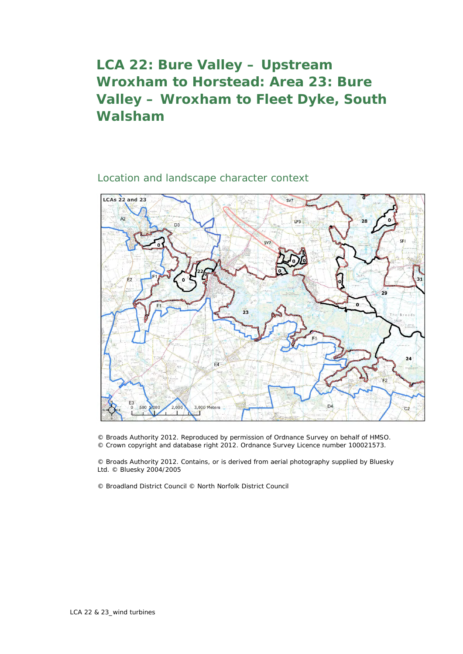## **LCA 22: Bure Valley – Upstream Wroxham to Horstead: Area 23: Bure Valley – Wroxham to Fleet Dyke, South Walsham**

Location and landscape character context



© Broads Authority 2012. Reproduced by permission of Ordnance Survey on behalf of HMSO. © Crown copyright and database right 2012. Ordnance Survey Licence number 100021573.

© Broads Authority 2012. Contains, or is derived from aerial photography supplied by Bluesky Ltd. © Bluesky 2004/2005

© Broadland District Council © North Norfolk District Council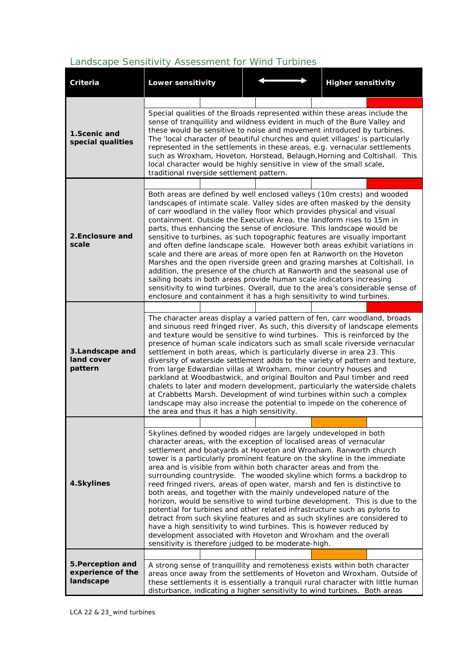## *Landscape Sensitivity Assessment for Wind Turbines*

| Criteria                                            | <b>Lower sensitivity</b>                                                                                                                                                                                                                                                                                                                                                                                                                                                                                                                                                                                                                                                                                                                                  |  |                                                                                                                           |  | <b>Higher sensitivity</b>                                                                                                                                                                                                                                                                                                                                                                                                                                                                                                                                                                                                                                                                                                                                                                                                                                                                                                                                                                                                                                                                                                                                                            |  |
|-----------------------------------------------------|-----------------------------------------------------------------------------------------------------------------------------------------------------------------------------------------------------------------------------------------------------------------------------------------------------------------------------------------------------------------------------------------------------------------------------------------------------------------------------------------------------------------------------------------------------------------------------------------------------------------------------------------------------------------------------------------------------------------------------------------------------------|--|---------------------------------------------------------------------------------------------------------------------------|--|--------------------------------------------------------------------------------------------------------------------------------------------------------------------------------------------------------------------------------------------------------------------------------------------------------------------------------------------------------------------------------------------------------------------------------------------------------------------------------------------------------------------------------------------------------------------------------------------------------------------------------------------------------------------------------------------------------------------------------------------------------------------------------------------------------------------------------------------------------------------------------------------------------------------------------------------------------------------------------------------------------------------------------------------------------------------------------------------------------------------------------------------------------------------------------------|--|
|                                                     |                                                                                                                                                                                                                                                                                                                                                                                                                                                                                                                                                                                                                                                                                                                                                           |  |                                                                                                                           |  |                                                                                                                                                                                                                                                                                                                                                                                                                                                                                                                                                                                                                                                                                                                                                                                                                                                                                                                                                                                                                                                                                                                                                                                      |  |
| 1.Scenic and<br>special qualities                   | traditional riverside settlement pattern.                                                                                                                                                                                                                                                                                                                                                                                                                                                                                                                                                                                                                                                                                                                 |  | local character would be highly sensitive in view of the small scale,                                                     |  | Special qualities of the Broads represented within these areas include the<br>sense of tranquillity and wildness evident in much of the Bure Valley and<br>these would be sensitive to noise and movement introduced by turbines.<br>The 'local character of beautiful churches and quiet villages' is particularly<br>represented in the settlements in these areas, e.g. vernacular settlements<br>such as Wroxham, Hoveton, Horstead, Belaugh, Horning and Coltishall. This                                                                                                                                                                                                                                                                                                                                                                                                                                                                                                                                                                                                                                                                                                       |  |
|                                                     |                                                                                                                                                                                                                                                                                                                                                                                                                                                                                                                                                                                                                                                                                                                                                           |  |                                                                                                                           |  |                                                                                                                                                                                                                                                                                                                                                                                                                                                                                                                                                                                                                                                                                                                                                                                                                                                                                                                                                                                                                                                                                                                                                                                      |  |
| 2.Enclosure and<br>scale                            |                                                                                                                                                                                                                                                                                                                                                                                                                                                                                                                                                                                                                                                                                                                                                           |  |                                                                                                                           |  | Both areas are defined by well enclosed valleys (10m crests) and wooded<br>landscapes of intimate scale. Valley sides are often masked by the density<br>of carr woodland in the valley floor which provides physical and visual<br>containment. Outside the Executive Area, the landform rises to 15m in<br>parts, thus enhancing the sense of enclosure. This landscape would be<br>sensitive to turbines, as such topographic features are visually important<br>and often define landscape scale. However both areas exhibit variations in<br>scale and there are areas of more open fen at Ranworth on the Hoveton<br>Marshes and the open riverside green and grazing marshes at Coltishall. In<br>addition, the presence of the church at Ranworth and the seasonal use of<br>sailing boats in both areas provide human scale indicators increasing<br>sensitivity to wind turbines. Overall, due to the area's considerable sense of<br>enclosure and containment it has a high sensitivity to wind turbines.<br>The character areas display a varied pattern of fen, carr woodland, broads<br>and sinuous reed fringed river. As such, this diversity of landscape elements |  |
| 3.Landscape and<br>land cover<br>pattern            | and texture would be sensitive to wind turbines. This is reinforced by the<br>presence of human scale indicators such as small scale riverside vernacular<br>settlement in both areas, which is particularly diverse in area 23. This<br>diversity of waterside settlement adds to the variety of pattern and texture,<br>from large Edwardian villas at Wroxham, minor country houses and<br>parkland at Woodbastwick, and original Boulton and Paul timber and reed<br>chalets to later and modern development, particularly the waterside chalets<br>at Crabbetts Marsh. Development of wind turbines within such a complex<br>landscape may also increase the potential to impede on the coherence of<br>the area and thus it has a high sensitivity. |  |                                                                                                                           |  |                                                                                                                                                                                                                                                                                                                                                                                                                                                                                                                                                                                                                                                                                                                                                                                                                                                                                                                                                                                                                                                                                                                                                                                      |  |
|                                                     |                                                                                                                                                                                                                                                                                                                                                                                                                                                                                                                                                                                                                                                                                                                                                           |  |                                                                                                                           |  |                                                                                                                                                                                                                                                                                                                                                                                                                                                                                                                                                                                                                                                                                                                                                                                                                                                                                                                                                                                                                                                                                                                                                                                      |  |
| 4.Skylines                                          |                                                                                                                                                                                                                                                                                                                                                                                                                                                                                                                                                                                                                                                                                                                                                           |  | area and is visible from within both character areas and from the<br>sensitivity is therefore judged to be moderate-high. |  | Skylines defined by wooded ridges are largely undeveloped in both<br>character areas, with the exception of localised areas of vernacular<br>settlement and boatyards at Hoveton and Wroxham. Ranworth church<br>tower is a particularly prominent feature on the skyline in the immediate<br>surrounding countryside. The wooded skyline which forms a backdrop to<br>reed fringed rivers, areas of open water, marsh and fen is distinctive to<br>both areas, and together with the mainly undeveloped nature of the<br>horizon, would be sensitive to wind turbine development. This is due to the<br>potential for turbines and other related infrastructure such as pylons to<br>detract from such skyline features and as such skylines are considered to<br>have a high sensitivity to wind turbines. This is however reduced by<br>development associated with Hoveton and Wroxham and the overall                                                                                                                                                                                                                                                                           |  |
|                                                     |                                                                                                                                                                                                                                                                                                                                                                                                                                                                                                                                                                                                                                                                                                                                                           |  |                                                                                                                           |  |                                                                                                                                                                                                                                                                                                                                                                                                                                                                                                                                                                                                                                                                                                                                                                                                                                                                                                                                                                                                                                                                                                                                                                                      |  |
| 5. Perception and<br>experience of the<br>landscape |                                                                                                                                                                                                                                                                                                                                                                                                                                                                                                                                                                                                                                                                                                                                                           |  |                                                                                                                           |  | A strong sense of tranquillity and remoteness exists within both character<br>areas once away from the settlements of Hoveton and Wroxham. Outside of<br>these settlements it is essentially a tranquil rural character with little human<br>disturbance, indicating a higher sensitivity to wind turbines. Both areas                                                                                                                                                                                                                                                                                                                                                                                                                                                                                                                                                                                                                                                                                                                                                                                                                                                               |  |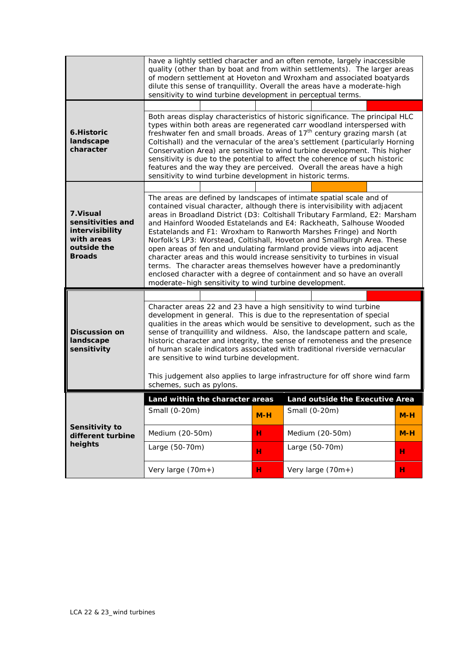|                                                                                                 | have a lightly settled character and an often remote, largely inaccessible<br>quality (other than by boat and from within settlements). The larger areas<br>of modern settlement at Hoveton and Wroxham and associated boatyards<br>dilute this sense of tranquillity. Overall the areas have a moderate-high<br>sensitivity to wind turbine development in perceptual terms.                                                                                                                                                                                                                                                           |        |                                                                                                                                                                                                                                                                                                                                                                                                                                                                                                                                                                                                                                                                                                                                                                |            |  |
|-------------------------------------------------------------------------------------------------|-----------------------------------------------------------------------------------------------------------------------------------------------------------------------------------------------------------------------------------------------------------------------------------------------------------------------------------------------------------------------------------------------------------------------------------------------------------------------------------------------------------------------------------------------------------------------------------------------------------------------------------------|--------|----------------------------------------------------------------------------------------------------------------------------------------------------------------------------------------------------------------------------------------------------------------------------------------------------------------------------------------------------------------------------------------------------------------------------------------------------------------------------------------------------------------------------------------------------------------------------------------------------------------------------------------------------------------------------------------------------------------------------------------------------------------|------------|--|
| 6.Historic<br>landscape<br>character                                                            | Both areas display characteristics of historic significance. The principal HLC<br>types within both areas are regenerated carr woodland interspersed with<br>freshwater fen and small broads. Areas of 17 <sup>th</sup> century grazing marsh (at<br>Coltishall) and the vernacular of the area's settlement (particularly Horning<br>Conservation Area) are sensitive to wind turbine development. This higher<br>sensitivity is due to the potential to affect the coherence of such historic<br>features and the way they are perceived. Overall the areas have a high<br>sensitivity to wind turbine development in historic terms. |        |                                                                                                                                                                                                                                                                                                                                                                                                                                                                                                                                                                                                                                                                                                                                                                |            |  |
| 7. Visual<br>sensitivities and<br>intervisibility<br>with areas<br>outside the<br><b>Broads</b> | moderate-high sensitivity to wind turbine development.                                                                                                                                                                                                                                                                                                                                                                                                                                                                                                                                                                                  |        | The areas are defined by landscapes of intimate spatial scale and of<br>contained visual character, although there is intervisibility with adjacent<br>areas in Broadland District (D3: Coltishall Tributary Farmland, E2: Marsham<br>and Hainford Wooded Estatelands and E4: Rackheath, Salhouse Wooded<br>Estatelands and F1: Wroxham to Ranworth Marshes Fringe) and North<br>Norfolk's LP3: Worstead, Coltishall, Hoveton and Smallburgh Area. These<br>open areas of fen and undulating farmland provide views into adjacent<br>character areas and this would increase sensitivity to turbines in visual<br>terms. The character areas themselves however have a predominantly<br>enclosed character with a degree of containment and so have an overall |            |  |
| <b>Discussion on</b><br>landscape                                                               | Character areas 22 and 23 have a high sensitivity to wind turbine<br>development in general. This is due to the representation of special<br>qualities in the areas which would be sensitive to development, such as the<br>sense of tranquillity and wildness. Also, the landscape pattern and scale,<br>historic character and integrity, the sense of remoteness and the presence<br>of human scale indicators associated with traditional riverside vernacular<br>are sensitive to wind turbine development.<br>This judgement also applies to large infrastructure for off shore wind farm                                         |        |                                                                                                                                                                                                                                                                                                                                                                                                                                                                                                                                                                                                                                                                                                                                                                |            |  |
| sensitivity                                                                                     | schemes, such as pylons.                                                                                                                                                                                                                                                                                                                                                                                                                                                                                                                                                                                                                |        |                                                                                                                                                                                                                                                                                                                                                                                                                                                                                                                                                                                                                                                                                                                                                                |            |  |
|                                                                                                 | Land within the character areas<br>Small (0-20m)                                                                                                                                                                                                                                                                                                                                                                                                                                                                                                                                                                                        | $M-H$  | Land outside the Executive Area<br>Small (0-20m)                                                                                                                                                                                                                                                                                                                                                                                                                                                                                                                                                                                                                                                                                                               | $M-H$      |  |
| Sensitivity to<br>different turbine<br>heights                                                  | Medium (20-50m)<br>Large (50-70m)                                                                                                                                                                                                                                                                                                                                                                                                                                                                                                                                                                                                       | н<br>н | Medium (20-50m)<br>Large (50-70m)                                                                                                                                                                                                                                                                                                                                                                                                                                                                                                                                                                                                                                                                                                                              | $M-H$<br>н |  |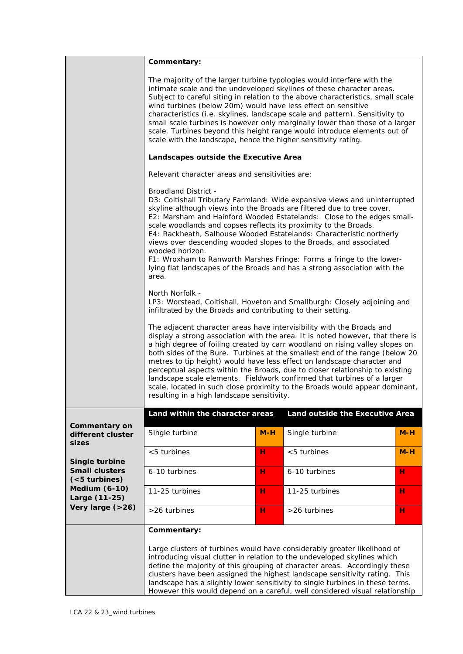| The majority of the larger turbine typologies would interfere with the<br>intimate scale and the undeveloped skylines of these character areas.<br>Subject to careful siting in relation to the above characteristics, small scale<br>wind turbines (below 20m) would have less effect on sensitive<br>characteristics (i.e. skylines, landscape scale and pattern). Sensitivity to<br>small scale turbines is however only marginally lower than those of a larger<br>scale. Turbines beyond this height range would introduce elements out of<br>scale with the landscape, hence the higher sensitivity rating.<br>Landscapes outside the Executive Area<br>Relevant character areas and sensitivities are:<br><b>Broadland District -</b><br>D3: Coltishall Tributary Farmland: Wide expansive views and uninterrupted<br>skyline although views into the Broads are filtered due to tree cover.<br>E2: Marsham and Hainford Wooded Estatelands: Close to the edges small-<br>scale woodlands and copses reflects its proximity to the Broads.<br>E4: Rackheath, Salhouse Wooded Estatelands: Characteristic northerly<br>views over descending wooded slopes to the Broads, and associated<br>wooded horizon.<br>F1: Wroxham to Ranworth Marshes Fringe: Forms a fringe to the lower-<br>lying flat landscapes of the Broads and has a strong association with the<br>area.<br>North Norfolk -<br>LP3: Worstead, Coltishall, Hoveton and Smallburgh: Closely adjoining and<br>infiltrated by the Broads and contributing to their setting.<br>The adjacent character areas have intervisibility with the Broads and<br>display a strong association with the area. It is noted however, that there is<br>a high degree of foiling created by carr woodland on rising valley slopes on<br>both sides of the Bure. Turbines at the smallest end of the range (below 20<br>metres to tip height) would have less effect on landscape character and<br>perceptual aspects within the Broads, due to closer relationship to existing<br>landscape scale elements. Fieldwork confirmed that turbines of a larger<br>scale, located in such close proximity to the Broads would appear dominant, |       |  |  |  |  |  |  |  |
|-----------------------------------------------------------------------------------------------------------------------------------------------------------------------------------------------------------------------------------------------------------------------------------------------------------------------------------------------------------------------------------------------------------------------------------------------------------------------------------------------------------------------------------------------------------------------------------------------------------------------------------------------------------------------------------------------------------------------------------------------------------------------------------------------------------------------------------------------------------------------------------------------------------------------------------------------------------------------------------------------------------------------------------------------------------------------------------------------------------------------------------------------------------------------------------------------------------------------------------------------------------------------------------------------------------------------------------------------------------------------------------------------------------------------------------------------------------------------------------------------------------------------------------------------------------------------------------------------------------------------------------------------------------------------------------------------------------------------------------------------------------------------------------------------------------------------------------------------------------------------------------------------------------------------------------------------------------------------------------------------------------------------------------------------------------------------------------------------------------------------------------------------------------------------------------------------|-------|--|--|--|--|--|--|--|
|                                                                                                                                                                                                                                                                                                                                                                                                                                                                                                                                                                                                                                                                                                                                                                                                                                                                                                                                                                                                                                                                                                                                                                                                                                                                                                                                                                                                                                                                                                                                                                                                                                                                                                                                                                                                                                                                                                                                                                                                                                                                                                                                                                                               |       |  |  |  |  |  |  |  |
|                                                                                                                                                                                                                                                                                                                                                                                                                                                                                                                                                                                                                                                                                                                                                                                                                                                                                                                                                                                                                                                                                                                                                                                                                                                                                                                                                                                                                                                                                                                                                                                                                                                                                                                                                                                                                                                                                                                                                                                                                                                                                                                                                                                               |       |  |  |  |  |  |  |  |
|                                                                                                                                                                                                                                                                                                                                                                                                                                                                                                                                                                                                                                                                                                                                                                                                                                                                                                                                                                                                                                                                                                                                                                                                                                                                                                                                                                                                                                                                                                                                                                                                                                                                                                                                                                                                                                                                                                                                                                                                                                                                                                                                                                                               |       |  |  |  |  |  |  |  |
| resulting in a high landscape sensitivity.                                                                                                                                                                                                                                                                                                                                                                                                                                                                                                                                                                                                                                                                                                                                                                                                                                                                                                                                                                                                                                                                                                                                                                                                                                                                                                                                                                                                                                                                                                                                                                                                                                                                                                                                                                                                                                                                                                                                                                                                                                                                                                                                                    |       |  |  |  |  |  |  |  |
| Land within the character areas<br>Land outside the Executive Area                                                                                                                                                                                                                                                                                                                                                                                                                                                                                                                                                                                                                                                                                                                                                                                                                                                                                                                                                                                                                                                                                                                                                                                                                                                                                                                                                                                                                                                                                                                                                                                                                                                                                                                                                                                                                                                                                                                                                                                                                                                                                                                            |       |  |  |  |  |  |  |  |
| <b>Commentary on</b><br>$M-H$<br>Single turbine<br>Single turbine<br>different cluster                                                                                                                                                                                                                                                                                                                                                                                                                                                                                                                                                                                                                                                                                                                                                                                                                                                                                                                                                                                                                                                                                                                                                                                                                                                                                                                                                                                                                                                                                                                                                                                                                                                                                                                                                                                                                                                                                                                                                                                                                                                                                                        | $M-H$ |  |  |  |  |  |  |  |
| sizes<br>$< 5$ turbines<br>н<br>$<$ 5 turbines                                                                                                                                                                                                                                                                                                                                                                                                                                                                                                                                                                                                                                                                                                                                                                                                                                                                                                                                                                                                                                                                                                                                                                                                                                                                                                                                                                                                                                                                                                                                                                                                                                                                                                                                                                                                                                                                                                                                                                                                                                                                                                                                                | $M-H$ |  |  |  |  |  |  |  |
| Single turbine<br><b>Small clusters</b><br>6-10 turbines<br>н<br>6-10 turbines<br>н                                                                                                                                                                                                                                                                                                                                                                                                                                                                                                                                                                                                                                                                                                                                                                                                                                                                                                                                                                                                                                                                                                                                                                                                                                                                                                                                                                                                                                                                                                                                                                                                                                                                                                                                                                                                                                                                                                                                                                                                                                                                                                           |       |  |  |  |  |  |  |  |
| $(5$ turbines)<br><b>Medium (6-10)</b>                                                                                                                                                                                                                                                                                                                                                                                                                                                                                                                                                                                                                                                                                                                                                                                                                                                                                                                                                                                                                                                                                                                                                                                                                                                                                                                                                                                                                                                                                                                                                                                                                                                                                                                                                                                                                                                                                                                                                                                                                                                                                                                                                        |       |  |  |  |  |  |  |  |
| 11-25 turbines<br>н<br>11-25 turbines<br>н<br>Large (11-25)<br>Very large (>26)                                                                                                                                                                                                                                                                                                                                                                                                                                                                                                                                                                                                                                                                                                                                                                                                                                                                                                                                                                                                                                                                                                                                                                                                                                                                                                                                                                                                                                                                                                                                                                                                                                                                                                                                                                                                                                                                                                                                                                                                                                                                                                               |       |  |  |  |  |  |  |  |
| >26 turbines<br>>26 turbines<br>н<br>н                                                                                                                                                                                                                                                                                                                                                                                                                                                                                                                                                                                                                                                                                                                                                                                                                                                                                                                                                                                                                                                                                                                                                                                                                                                                                                                                                                                                                                                                                                                                                                                                                                                                                                                                                                                                                                                                                                                                                                                                                                                                                                                                                        |       |  |  |  |  |  |  |  |
| Commentary:<br>Large clusters of turbines would have considerably greater likelihood of<br>introducing visual clutter in relation to the undeveloped skylines which<br>define the majority of this grouping of character areas. Accordingly these<br>clusters have been assigned the highest landscape sensitivity rating. This<br>landscape has a slightly lower sensitivity to single turbines in these terms.<br>However this would depend on a careful, well considered visual relationship                                                                                                                                                                                                                                                                                                                                                                                                                                                                                                                                                                                                                                                                                                                                                                                                                                                                                                                                                                                                                                                                                                                                                                                                                                                                                                                                                                                                                                                                                                                                                                                                                                                                                               |       |  |  |  |  |  |  |  |